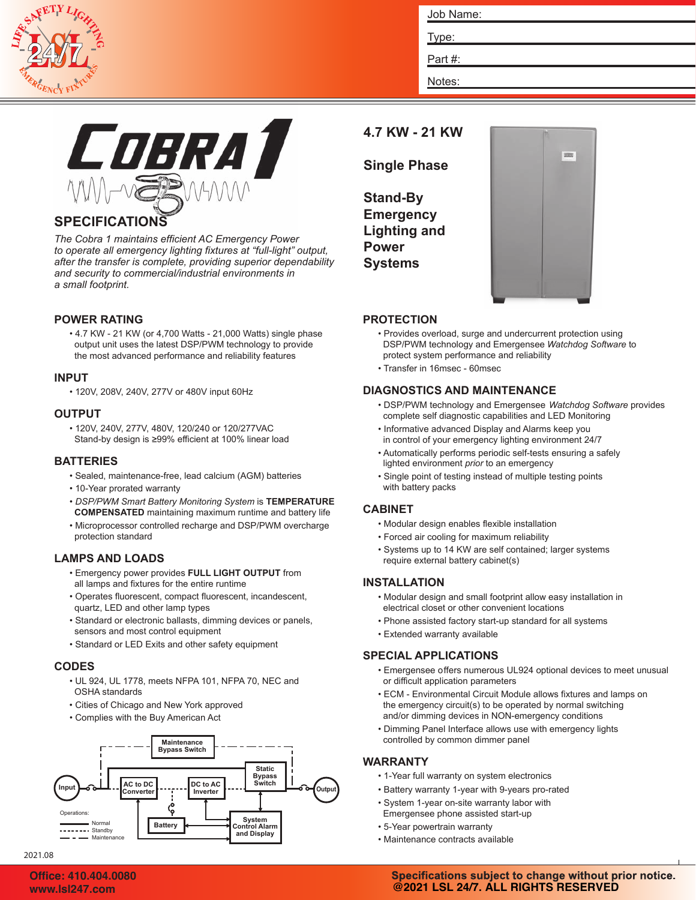

| Job Name: |  |  |
|-----------|--|--|
| Type:     |  |  |
| Part#:    |  |  |
| Notes:    |  |  |



# **SPECIFICATIONS**

*The Cobra 1 maintains efficient AC Emergency Power to operate all emergency lighting fixtures at "full-light" output, after the transfer is complete, providing superior dependability and security to commercial/industrial environments in a small footprint.*

## **POWER RATING**

• 4.7 KW - 21 KW (or 4,700 Watts - 21,000 Watts) single phase output unit uses the latest DSP/PWM technology to provide the most advanced performance and reliability features

## **INPUT**

• 120V, 208V, 240V, 277V or 480V input 60Hz

### **OUTPUT**

• 120V, 240V, 277V, 480V, 120/240 or 120/277VAC Stand-by design is ≥99% efficient at 100% linear load

### **BATTERIES**

- Sealed, maintenance-free, lead calcium (AGM) batteries
- 10-Year prorated warranty
- *DSP/PWM Smart Battery Monitoring System* is **TEMPERATURE COMPENSATED** maintaining maximum runtime and battery life
- Microprocessor controlled recharge and DSP/PWM overcharge protection standard

## **LAMPS AND LOADS**

- Emergency power provides **FULL LIGHT OUTPUT** from all lamps and fixtures for the entire runtime
- Operates fluorescent, compact fluorescent, incandescent, quartz, LED and other lamp types
- Standard or electronic ballasts, dimming devices or panels, sensors and most control equipment
- Standard or LED Exits and other safety equipment

### **CODES**

- UL 924, UL 1778, meets NFPA 101, NFPA 70, NEC and OSHA standards
- Cities of Chicago and New York approved
- Complies with the Buy American Act



# **4.7 KW - 21 KW**

**Single Phase**

**Stand-By Emergency Lighting and Power Systems**



## **PROTECTION**

- Provides overload, surge and undercurrent protection using DSP/PWM technology and Emergensee *Watchdog Software* to protect system performance and reliability
- Transfer in 16msec 60msec

## **DIAGNOSTICS AND MAINTENANCE**

- DSP/PWM technology and Emergensee *Watchdog Software* provides complete self diagnostic capabilities and LED Monitoring
- Informative advanced Display and Alarms keep you in control of your emergency lighting environment 24/7
- Automatically performs periodic self-tests ensuring a safely lighted environment *prior* to an emergency
- Single point of testing instead of multiple testing points with battery packs

## **CABINET**

- Modular design enables flexible installation
- Forced air cooling for maximum reliability
- Systems up to 14 KW are self contained; larger systems require external battery cabinet(s)

### **INSTALLATION**

- Modular design and small footprint allow easy installation in electrical closet or other convenient locations
- Phone assisted factory start-up standard for all systems
- Extended warranty available

### **SPECIAL APPLICATIONS**

- Emergensee offers numerous UL924 optional devices to meet unusual or difficult application parameters
- ECM Environmental Circuit Module allows fixtures and lamps on the emergency circuit(s) to be operated by normal switching and/or dimming devices in NON-emergency conditions
- Dimming Panel Interface allows use with emergency lights controlled by common dimmer panel

### **WARRANTY**

- 1-Year full warranty on system electronics
- Battery warranty 1-year with 9-years pro-rated
- System 1-year on-site warranty labor with Emergensee phone assisted start-up
- 5-Year powertrain warranty
- Maintenance contracts available

## Specifications subject to change without prior notice. **@2021 LSL 24/7. ALL RIGHTS RESERVED**